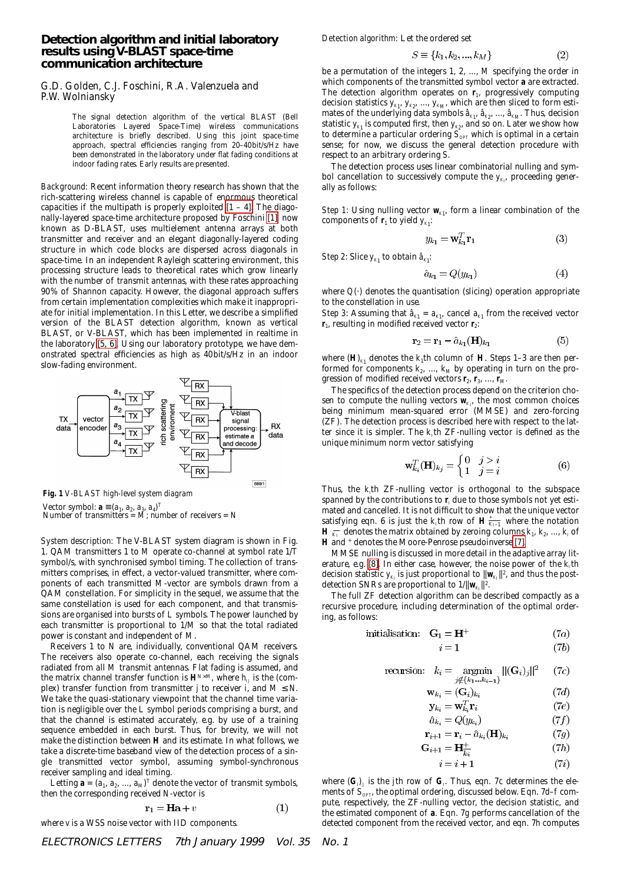## **Detection algorithm and initial laboratory results using V-BLAST space-time communication architecture**

## G.D. Golden, C.J. Foschini, R.A. Valenzuela and P.W. Wolniansky

The signal detection algorithm of the vertical BLAST (Bell Laboratories Layered Space-Time) wireless communications architecture is briefly described. Using this joint space-time approach, spectral efficiencies ranging from 20–40bit/s/Hz have been demonstrated in the laboratory under flat fading conditions at indoor fading rates. Early results are presented.

*Background:* Recent information theory research has shown that the rich-scattering wireless channel is capable of enormous theoretical capacities if the multipath is properly exploited  $[1 - 4]$ . The diagonally-layered space-time architecture proposed by Foschini [\[1\],](#page-1-1) now known as D-BLAST, uses multielement antenna arrays at both transmitter and receiver and an elegant diagonally-layered coding structure in which code blocks are dispersed across diagonals in space-time. In an independent Rayleigh scattering environment, this processing structure leads to theoretical rates which grow linearly with the number of transmit antennas, with these rates approaching 90% of Shannon capacity. However, the diagonal approach suffers from certain implementation complexities which make it inappropriate for initial implementation. In this Letter, we describe a simplified version of the BLAST detection algorithm, known as vertical BLAST, or V-BLAST, which has been implemented in realtime in the laboratory [\[5, 6\].](#page-1-2) Using our laboratory prototype, we have demonstrated spectral efficiencies as high as 40bit/s/Hz in an indoor slow-fading environment.



**Fig. 1** *V-BLAST high-level system diagram*

Vector symbol:  $\mathbf{a} \equiv (a_1, a_2, a_3, a_4)^T$ <br>Number of transmitters = *M*; number of receivers = *N* 

*System description:* The V-BLAST system diagram is shown in Fig. 1. QAM transmitters 1 to *M* operate co-channel at symbol rate 1/*T* symbol/s, with synchronised symbol timing. The collection of transmitters comprises, in effect, a vector-valued transmitter, where components of each transmitted *M*-vector are symbols drawn from a QAM constellation. For simplicity in the sequel, we assume that the same constellation is used for each component, and that transmissions are organised into bursts of *L* symbols. The power launched by each transmitter is proportional to 1/*M* so that the total radiated power is constant and independent of *M*.

Receivers 1 to *N* are, individually, conventional QAM receivers. The receivers also operate co-channel, each receiving the signals radiated from all *M* transmit antennas. Flat fading is assumed, and the matrix channel transfer function is  $\mathbf{H}^{N \times M}$ , where  $h_{IJ}$  is the (complex) transfer function from transmitter *j* to receiver *i*, and  $M \le N$ . We take the quasi-stationary viewpoint that the channel time variation is negligible over the *L* symbol periods comprising a burst, and that the channel is estimated accurately, e.g. by use of a training sequence embedded in each burst. Thus, for brevity, we will not make the distinction between **H** and its estimate. In what follows, we take a discrete-time baseband view of the detection process of a single transmitted vector symbol, assuming symbol-synchronous receiver sampling and ideal timing.

Letting  $\mathbf{a} = (a_1, a_2, ..., a_M)^T$  denote the vector of transmit symbols, then the corresponding received *N*-vector is

$$
\mathbf{r}_1 = \mathbf{H}\mathbf{a} + v \tag{1}
$$

where *v* is a WSS noise vector with IID components.

*Detection algorithm:* Let the ordered set

$$
S \equiv \{k_1, k_2, ..., k_M\} \tag{2}
$$

be a permutation of the integers 1, 2, ..., *M* specifying the order in which components of the transmitted symbol vector **a** are extracted. The detection algorithm operates on  $\mathbf{r}_1$ , progressively computing decision statistics  $y_{\scriptscriptstyle{K1}},\,y_{\scriptscriptstyle{K2}},\,...,\,y_{\scriptscriptstyle{K\!M\!P}}$  which are then sliced to form estimates of the underlying data symbols  $\hat{a}_{\kappa_1},\,\hat{a}_{\kappa_2},\,...,\,\hat{a}_{\kappa_M}$  Thus, decision statistic  $y_{\scriptscriptstyle{K_{1}}}$  is computed first, then  $y_{\scriptscriptstyle{K_{2}}}$ , and so on. Later we show how to determine a particular ordering  $\tilde{S}_{\text{OPT}}$  which is optimal in a certain sense; for now, we discuss the general detection procedure with respect to an arbitrary ordering *S*.

The detection process uses linear combinatorial nulling and symbol cancellation to successively compute the  $y_{\scriptscriptstyle K_{I}}$  proceeding generally as follows:

*Step 1*: Using nulling vector  $w_{K1}$ , form a linear combination of the components of  $\mathbf{r}_1$  to yield  $y_{K_1}$ :

$$
y_{k_1} = \mathbf{w}_{k_1}^T \mathbf{r}_1 \tag{3}
$$

*Step 2*: Slice  $y_{K_1}$  to obtain  $\hat{a}_{K_1}$ :

$$
i_{k_1} = Q(y_{k_1})\tag{4}
$$

where  $Q(.)$  denotes the quantisation (slicing) operation appropriate to the constellation in use.

*Step 3*: Assuming that  $\hat{a}_{K_1} = a_{K_1}$ , cancel  $a_{K_1}$  from the received vector  $\mathbf{r}_1$ , resulting in modified received vector  $\mathbf{r}_2$ :

$$
\mathbf{r}_2 = \mathbf{r}_1 - \hat{a}_{k_1}(\mathbf{H})_{k_1} \tag{5}
$$

where  $(H)_{K_1}$  denotes the  $k_1$ th column of **H**. Steps 1–3 are then performed for components  $k_2$ , ...,  $k_M$  by operating in turn on the progression of modified received vectors **r**<sub>2</sub>, **r**<sub>3</sub>, ..., **r**<sub>*M*</sub>.

The specifics of the detection process depend on the criterion chosen to compute the nulling vectors  $\mathbf{w}_{\scriptscriptstyle{K_P}}$  the most common choices being minimum mean-squared error (MMSE) and zero-forcing (ZF). The detection process is described here with respect to the latter since it is simpler. The  $k<sub>i</sub>$ th ZF-nulling vector is defined as the unique minimum norm vector satisfying

$$
\mathbf{w}_{k_i}^T(\mathbf{H})_{k_j} = \begin{cases} 0 & j > i \\ 1 & j = i \end{cases}
$$
 (6)

Thus, the *k<sub>I</sub>*th ZF-nulling vector is orthogonal to the subspace spanned by the contributions to  $\mathbf{r}_i$  due to those symbols not yet estimated and cancelled. It is not difficult to show that the unique vector satisfying eqn. 6 is just the  $k<sub>i</sub>$ th row of  $\mathbf{H} \frac{1}{K_{I-1}}$  where the notation  $\mathbf{H} \xrightarrow[K_I]{} \text{ denotes the matrix obtained by zeroing columns } k_1, \, k_2, \, ...,\, k_I \, \text{of}$ **H** and + denotes the Moore-Penrose pseudoinverse [\[7\].](#page-1-4)

MMSE nulling is discussed in more detail in the adaptive array literature, e.g.  $[8]$ . In either case, however, the noise power of the  $k<sub>i</sub>$ th decision statistic  $y_{\kappa_I}$  is just proportional to  $\|\mathbf{w}_{\kappa_I}\|^2$ , and thus the postdetection SNRs are proportional to  $1/\|\mathbf{w}_{K_I}\|^2$ .

The full ZF detection algorithm can be described compactly as a recursive procedure, including determination of the optimal ordering, as follows:

 $\overline{1}$ 

initialisation: 
$$
G_1 = H^+
$$
 (7a)

$$
i = 1 \tag{7b}
$$

$$
\text{recursion:} \quad k_i = \operatorname*{argmin}_{j \notin \{k_1 \dots k_{i-1}\}} ||(\mathbf{G}_i)_j||^2 \qquad (7c)
$$

$$
\mathbf{w}_{k_i} = (\mathbf{G}_i)_{k_i} \tag{7d}
$$

$$
\mathbf{y}_{k_i} = \mathbf{w}_{k_i}^T \mathbf{r}_i \tag{7e}
$$

$$
\hat{a}_{k_i} = Q(y_{k_i})\tag{7f}
$$

$$
\mathbf{r}_{i+1} = \mathbf{r}_i - a_{k_i}(\mathbf{H})_{k_i} \tag{7b}
$$
\n
$$
\mathbf{G}_{i+1} = \mathbf{H}^+ \tag{7b}
$$

$$
i+1 = \mathbf{1}\mathbf{1}_{\overline{k_i}}
$$
\n
$$
i = i+1
$$
\n(7*i*)

$$
i = i + 1 \tag{1}
$$

where  $(\mathbf{G}_{\boldsymbol{\rho}})$  is the *j*th row of  $\mathbf{G}_{\boldsymbol{\rho}}$  Thus, eqn. 7 $c$  determines the elements of  $S_{opp}$ , the optimal ordering, discussed below. Eqn. 7*d–f* compute, respectively, the ZF-nulling vector, the decision statistic, and the estimated component of **a**. Eqn. 7*g* performs cancellation of the detected component from the received vector, and eqn. 7*h* computes